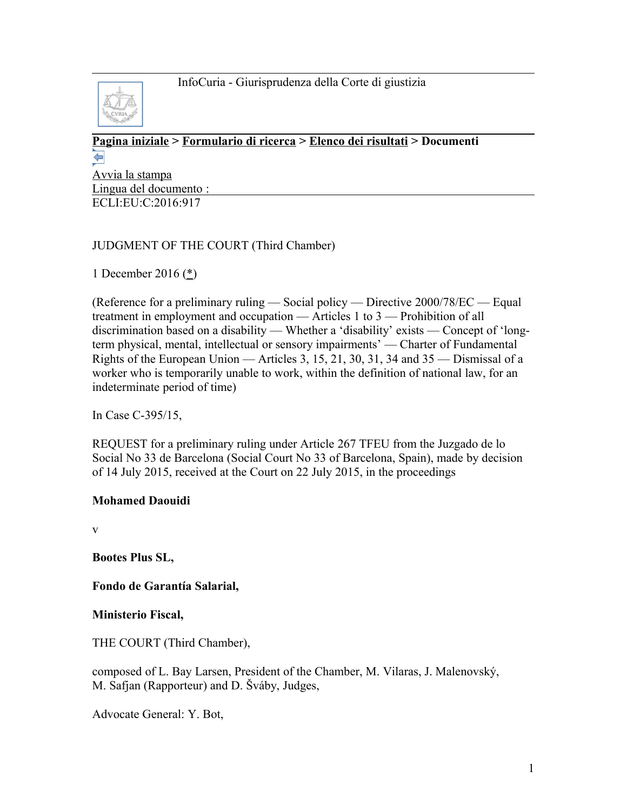

#### **[Pagina iniziale](http://curia.europa.eu/jcms/jcms/j_6?PortalAction_x_000_userLang=it) > [Formulario di ricerca](http://curia.europa.eu/juris/document/document.jsf?doclang=EN&text=&pageIndex=0&part=1&mode=lst&docid=185743&occ=first&dir=&actionMethod=document%2Fdocument.xhtml%3AformController.resetAction&cid=860729) > [Elenco dei risultati](http://curia.europa.eu/juris/documents.jsf?pro=&lgrec=it&nat=or&oqp=&lg=&dates=%2524type%253Dpro%2524mode%253DfromTo%2524from%253D2016.11.14%2524to%253D2016.12.30&language=it&jur=C&cit=none%252CC%252CCJ%252CR%252C2008E%252C%252C%252C%252C%252C%252C%252C%252C%252C%252Ctrue%252Cfalse%252Cfalse&td=%3BALL&pcs=Oor&avg=&page=1&mat=or&etat=clot&jge=&for=&cid=860729) > Documenti**  ⇚

[Avvia la stampa](http://curia.europa.eu/juris/document/document_print.jsf?doclang=EN&text=&pageIndex=0&part=1&mode=lst&docid=185743&occ=first&dir=&cid=860729) Lingua del documento : ECLI:EU:C:2016:917

## JUDGMENT OF THE COURT (Third Chamber)

1 December 2016 [\(\\*\)](http://curia.europa.eu/juris/document/document.jsf?text=&docid=185743&pageIndex=0&doclang=EN&mode=lst&dir=&occ=first&part=1&cid=860729#Footnote*)

(Reference for a preliminary ruling — Social policy — Directive 2000/78/EC — Equal treatment in employment and occupation — Articles 1 to 3 — Prohibition of all discrimination based on a disability — Whether a 'disability' exists — Concept of 'longterm physical, mental, intellectual or sensory impairments' — Charter of Fundamental Rights of the European Union — Articles 3, 15, 21, 30, 31, 34 and 35 — Dismissal of a worker who is temporarily unable to work, within the definition of national law, for an indeterminate period of time)

In Case C-395/15,

REQUEST for a preliminary ruling under Article 267 TFEU from the Juzgado de lo Social No 33 de Barcelona (Social Court No 33 of Barcelona, Spain), made by decision of 14 July 2015, received at the Court on 22 July 2015, in the proceedings

## **Mohamed Daouidi**

v

**Bootes Plus SL,**

**Fondo de Garantía Salarial,**

**Ministerio Fiscal,**

THE COURT (Third Chamber),

composed of L. Bay Larsen, President of the Chamber, M. Vilaras, J. Malenovský, M. Safjan (Rapporteur) and D. Šváby, Judges,

Advocate General: Y. Bot,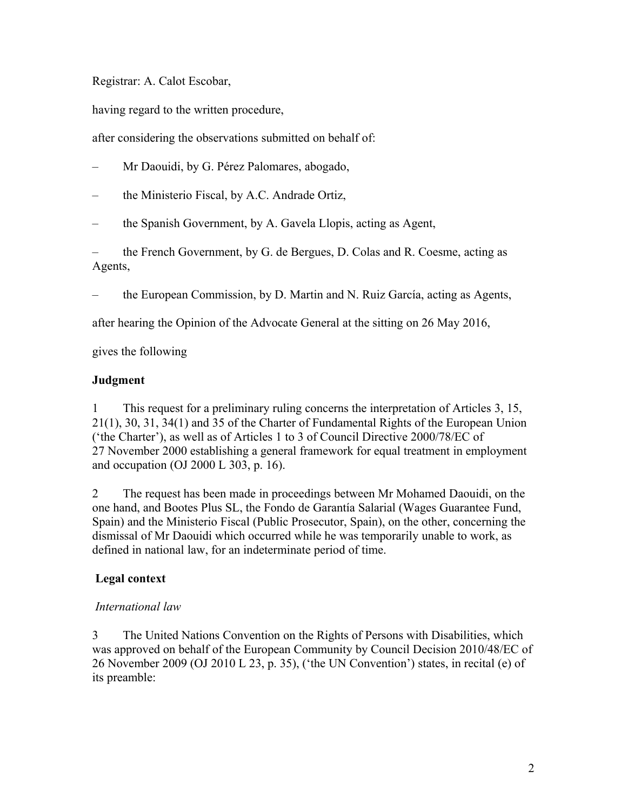Registrar: A. Calot Escobar,

having regard to the written procedure,

after considering the observations submitted on behalf of:

– Mr Daouidi, by G. Pérez Palomares, abogado,

– the Ministerio Fiscal, by A.C. Andrade Ortiz,

– the Spanish Government, by A. Gavela Llopis, acting as Agent,

– the French Government, by G. de Bergues, D. Colas and R. Coesme, acting as Agents,

– the European Commission, by D. Martin and N. Ruiz García, acting as Agents,

after hearing the Opinion of the Advocate General at the sitting on 26 May 2016,

gives the following

### **Judgment**

1 This request for a preliminary ruling concerns the interpretation of Articles 3, 15, 21(1), 30, 31, 34(1) and 35 of the Charter of Fundamental Rights of the European Union ('the Charter'), as well as of Articles 1 to 3 of Council Directive 2000/78/EC of 27 November 2000 establishing a general framework for equal treatment in employment and occupation (OJ 2000 L 303, p. 16).

2 The request has been made in proceedings between Mr Mohamed Daouidi, on the one hand, and Bootes Plus SL, the Fondo de Garantía Salarial (Wages Guarantee Fund, Spain) and the Ministerio Fiscal (Public Prosecutor, Spain), on the other, concerning the dismissal of Mr Daouidi which occurred while he was temporarily unable to work, as defined in national law, for an indeterminate period of time.

## **Legal context**

#### *International law*

3 The United Nations Convention on the Rights of Persons with Disabilities, which was approved on behalf of the European Community by Council Decision 2010/48/EC of 26 November 2009 (OJ 2010 L 23, p. 35), ('the UN Convention') states, in recital (e) of its preamble: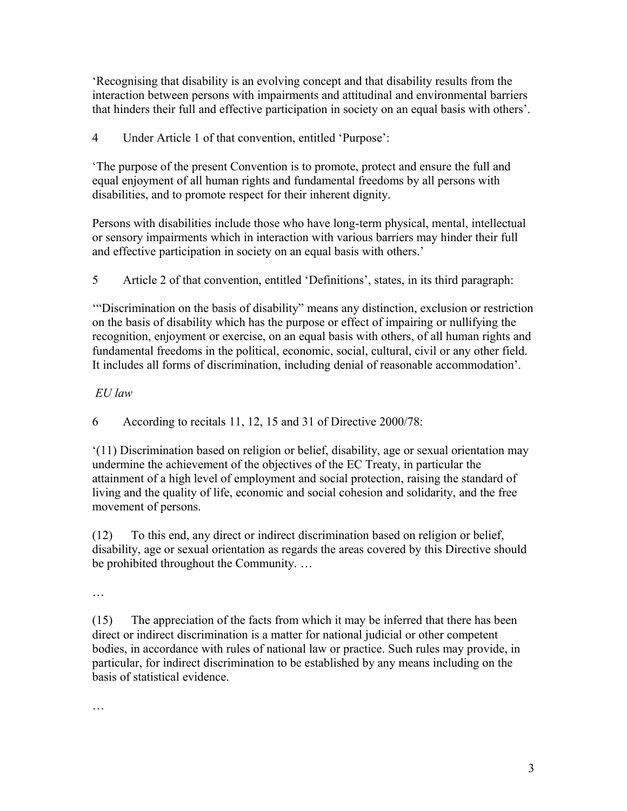'Recognising that disability is an evolving concept and that disability results from the interaction between persons with impairments and attitudinal and environmental barriers that hinders their full and effective participation in society on an equal basis with others'.

4 Under Article 1 of that convention, entitled 'Purpose':

'The purpose of the present Convention is to promote, protect and ensure the full and equal enjoyment of all human rights and fundamental freedoms by all persons with disabilities, and to promote respect for their inherent dignity.

Persons with disabilities include those who have long-term physical, mental, intellectual or sensory impairments which in interaction with various barriers may hinder their full and effective participation in society on an equal basis with others.'

5 Article 2 of that convention, entitled 'Definitions', states, in its third paragraph:

'"Discrimination on the basis of disability" means any distinction, exclusion or restriction on the basis of disability which has the purpose or effect of impairing or nullifying the recognition, enjoyment or exercise, on an equal basis with others, of all human rights and fundamental freedoms in the political, economic, social, cultural, civil or any other field. It includes all forms of discrimination, including denial of reasonable accommodation'.

# *EU law*

6 According to recitals 11, 12, 15 and 31 of Directive 2000/78:

'(11) Discrimination based on religion or belief, disability, age or sexual orientation may undermine the achievement of the objectives of the EC Treaty, in particular the attainment of a high level of employment and social protection, raising the standard of living and the quality of life, economic and social cohesion and solidarity, and the free movement of persons.

(12) To this end, any direct or indirect discrimination based on religion or belief, disability, age or sexual orientation as regards the areas covered by this Directive should be prohibited throughout the Community. …

#### …

(15) The appreciation of the facts from which it may be inferred that there has been direct or indirect discrimination is a matter for national judicial or other competent bodies, in accordance with rules of national law or practice. Such rules may provide, in particular, for indirect discrimination to be established by any means including on the basis of statistical evidence.

…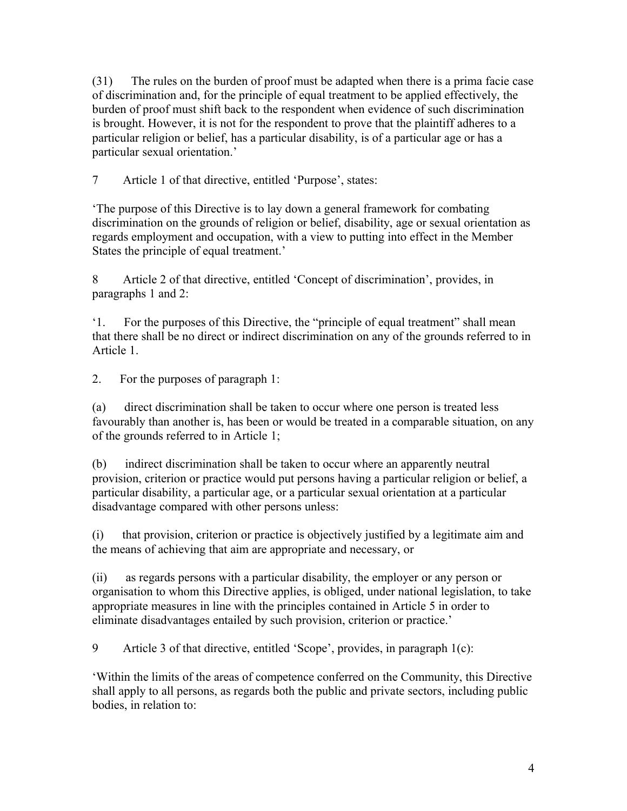(31) The rules on the burden of proof must be adapted when there is a prima facie case of discrimination and, for the principle of equal treatment to be applied effectively, the burden of proof must shift back to the respondent when evidence of such discrimination is brought. However, it is not for the respondent to prove that the plaintiff adheres to a particular religion or belief, has a particular disability, is of a particular age or has a particular sexual orientation.'

7 Article 1 of that directive, entitled 'Purpose', states:

'The purpose of this Directive is to lay down a general framework for combating discrimination on the grounds of religion or belief, disability, age or sexual orientation as regards employment and occupation, with a view to putting into effect in the Member States the principle of equal treatment.'

8 Article 2 of that directive, entitled 'Concept of discrimination', provides, in paragraphs 1 and 2:

'1. For the purposes of this Directive, the "principle of equal treatment" shall mean that there shall be no direct or indirect discrimination on any of the grounds referred to in Article 1.

2. For the purposes of paragraph 1:

(a) direct discrimination shall be taken to occur where one person is treated less favourably than another is, has been or would be treated in a comparable situation, on any of the grounds referred to in Article 1;

(b) indirect discrimination shall be taken to occur where an apparently neutral provision, criterion or practice would put persons having a particular religion or belief, a particular disability, a particular age, or a particular sexual orientation at a particular disadvantage compared with other persons unless:

(i) that provision, criterion or practice is objectively justified by a legitimate aim and the means of achieving that aim are appropriate and necessary, or

(ii) as regards persons with a particular disability, the employer or any person or organisation to whom this Directive applies, is obliged, under national legislation, to take appropriate measures in line with the principles contained in Article 5 in order to eliminate disadvantages entailed by such provision, criterion or practice.'

9 Article 3 of that directive, entitled 'Scope', provides, in paragraph 1(c):

'Within the limits of the areas of competence conferred on the Community, this Directive shall apply to all persons, as regards both the public and private sectors, including public bodies, in relation to: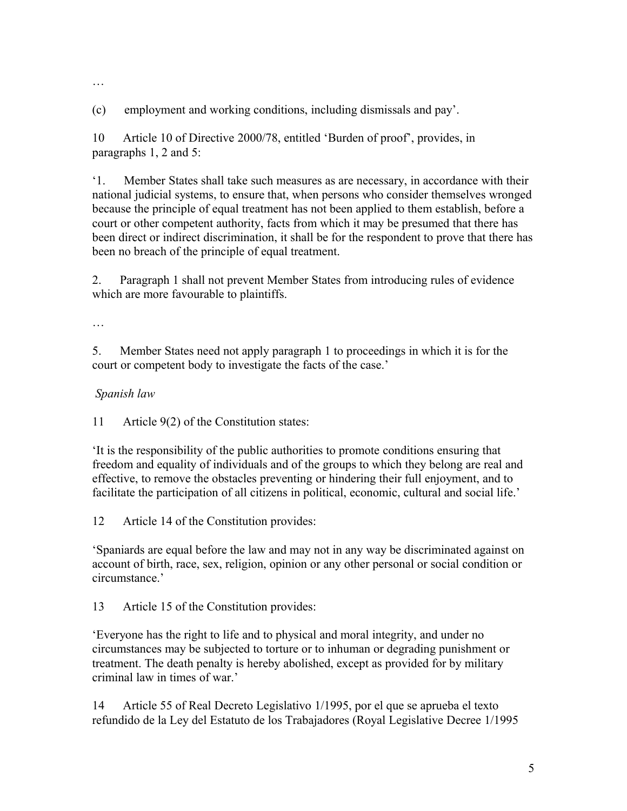…

(c) employment and working conditions, including dismissals and pay'.

10 Article 10 of Directive 2000/78, entitled 'Burden of proof', provides, in paragraphs 1, 2 and 5:

'1. Member States shall take such measures as are necessary, in accordance with their national judicial systems, to ensure that, when persons who consider themselves wronged because the principle of equal treatment has not been applied to them establish, before a court or other competent authority, facts from which it may be presumed that there has been direct or indirect discrimination, it shall be for the respondent to prove that there has been no breach of the principle of equal treatment.

2. Paragraph 1 shall not prevent Member States from introducing rules of evidence which are more favourable to plaintiffs.

…

5. Member States need not apply paragraph 1 to proceedings in which it is for the court or competent body to investigate the facts of the case.'

#### *Spanish law*

11 Article 9(2) of the Constitution states:

'It is the responsibility of the public authorities to promote conditions ensuring that freedom and equality of individuals and of the groups to which they belong are real and effective, to remove the obstacles preventing or hindering their full enjoyment, and to facilitate the participation of all citizens in political, economic, cultural and social life.'

12 Article 14 of the Constitution provides:

'Spaniards are equal before the law and may not in any way be discriminated against on account of birth, race, sex, religion, opinion or any other personal or social condition or circumstance.'

13 Article 15 of the Constitution provides:

'Everyone has the right to life and to physical and moral integrity, and under no circumstances may be subjected to torture or to inhuman or degrading punishment or treatment. The death penalty is hereby abolished, except as provided for by military criminal law in times of war.'

14 Article 55 of Real Decreto Legislativo 1/1995, por el que se aprueba el texto refundido de la Ley del Estatuto de los Trabajadores (Royal Legislative Decree 1/1995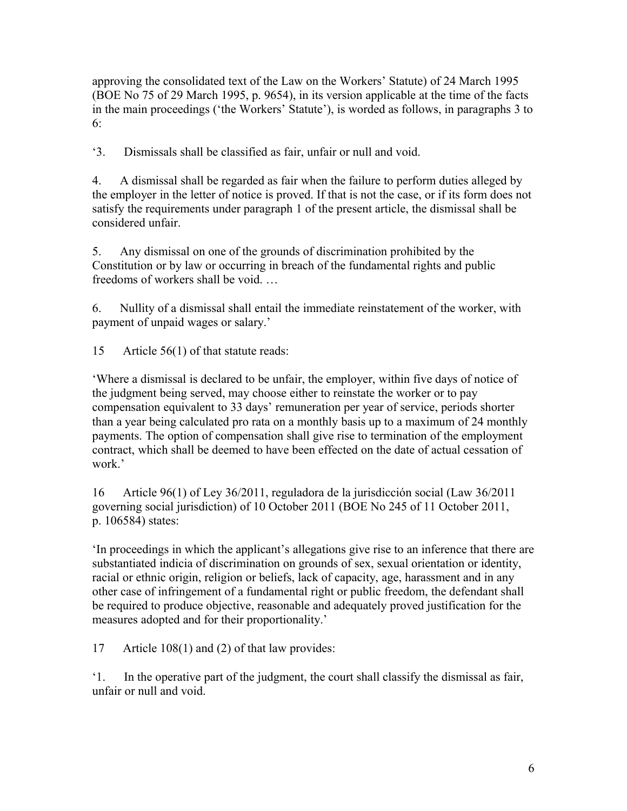approving the consolidated text of the Law on the Workers' Statute) of 24 March 1995 (BOE No 75 of 29 March 1995, p. 9654), in its version applicable at the time of the facts in the main proceedings ('the Workers' Statute'), is worded as follows, in paragraphs 3 to 6:

'3. Dismissals shall be classified as fair, unfair or null and void.

4. A dismissal shall be regarded as fair when the failure to perform duties alleged by the employer in the letter of notice is proved. If that is not the case, or if its form does not satisfy the requirements under paragraph 1 of the present article, the dismissal shall be considered unfair.

5. Any dismissal on one of the grounds of discrimination prohibited by the Constitution or by law or occurring in breach of the fundamental rights and public freedoms of workers shall be void. …

6. Nullity of a dismissal shall entail the immediate reinstatement of the worker, with payment of unpaid wages or salary.'

15 Article 56(1) of that statute reads:

'Where a dismissal is declared to be unfair, the employer, within five days of notice of the judgment being served, may choose either to reinstate the worker or to pay compensation equivalent to 33 days' remuneration per year of service, periods shorter than a year being calculated pro rata on a monthly basis up to a maximum of 24 monthly payments. The option of compensation shall give rise to termination of the employment contract, which shall be deemed to have been effected on the date of actual cessation of work.'

16 Article 96(1) of Ley 36/2011, reguladora de la jurisdicción social (Law 36/2011 governing social jurisdiction) of 10 October 2011 (BOE No 245 of 11 October 2011, p. 106584) states:

'In proceedings in which the applicant's allegations give rise to an inference that there are substantiated indicia of discrimination on grounds of sex, sexual orientation or identity, racial or ethnic origin, religion or beliefs, lack of capacity, age, harassment and in any other case of infringement of a fundamental right or public freedom, the defendant shall be required to produce objective, reasonable and adequately proved justification for the measures adopted and for their proportionality.'

17 Article 108(1) and (2) of that law provides:

'1. In the operative part of the judgment, the court shall classify the dismissal as fair, unfair or null and void.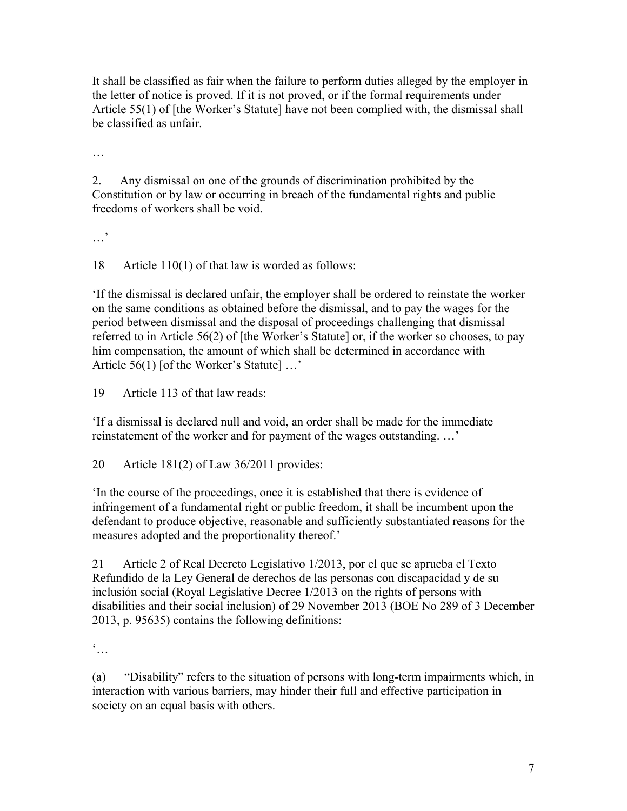It shall be classified as fair when the failure to perform duties alleged by the employer in the letter of notice is proved. If it is not proved, or if the formal requirements under Article 55(1) of [the Worker's Statute] have not been complied with, the dismissal shall be classified as unfair.

…

2. Any dismissal on one of the grounds of discrimination prohibited by the Constitution or by law or occurring in breach of the fundamental rights and public freedoms of workers shall be void.

…'

18 Article 110(1) of that law is worded as follows:

'If the dismissal is declared unfair, the employer shall be ordered to reinstate the worker on the same conditions as obtained before the dismissal, and to pay the wages for the period between dismissal and the disposal of proceedings challenging that dismissal referred to in Article 56(2) of [the Worker's Statute] or, if the worker so chooses, to pay him compensation, the amount of which shall be determined in accordance with Article 56(1) [of the Worker's Statute] ...'

19 Article 113 of that law reads:

'If a dismissal is declared null and void, an order shall be made for the immediate reinstatement of the worker and for payment of the wages outstanding. …'

20 Article 181(2) of Law 36/2011 provides:

'In the course of the proceedings, once it is established that there is evidence of infringement of a fundamental right or public freedom, it shall be incumbent upon the defendant to produce objective, reasonable and sufficiently substantiated reasons for the measures adopted and the proportionality thereof.'

21 Article 2 of Real Decreto Legislativo 1/2013, por el que se aprueba el Texto Refundido de la Ley General de derechos de las personas con discapacidad y de su inclusión social (Royal Legislative Decree 1/2013 on the rights of persons with disabilities and their social inclusion) of 29 November 2013 (BOE No 289 of 3 December 2013, p. 95635) contains the following definitions:

 $\dddot{\bullet}$ ...

(a) "Disability" refers to the situation of persons with long-term impairments which, in interaction with various barriers, may hinder their full and effective participation in society on an equal basis with others.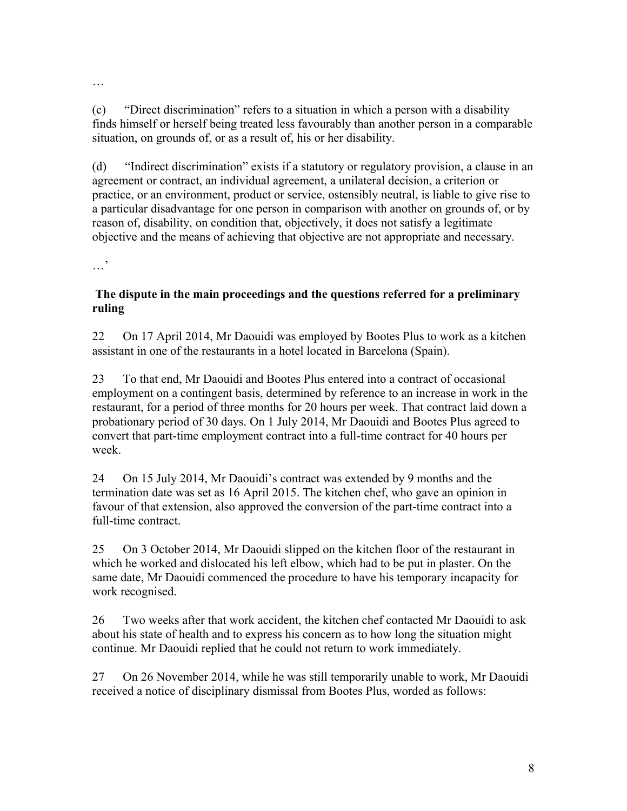(c) "Direct discrimination" refers to a situation in which a person with a disability finds himself or herself being treated less favourably than another person in a comparable situation, on grounds of, or as a result of, his or her disability.

(d) "Indirect discrimination" exists if a statutory or regulatory provision, a clause in an agreement or contract, an individual agreement, a unilateral decision, a criterion or practice, or an environment, product or service, ostensibly neutral, is liable to give rise to a particular disadvantage for one person in comparison with another on grounds of, or by reason of, disability, on condition that, objectively, it does not satisfy a legitimate objective and the means of achieving that objective are not appropriate and necessary.

…'

#### **The dispute in the main proceedings and the questions referred for a preliminary ruling**

22 On 17 April 2014, Mr Daouidi was employed by Bootes Plus to work as a kitchen assistant in one of the restaurants in a hotel located in Barcelona (Spain).

23 To that end, Mr Daouidi and Bootes Plus entered into a contract of occasional employment on a contingent basis, determined by reference to an increase in work in the restaurant, for a period of three months for 20 hours per week. That contract laid down a probationary period of 30 days. On 1 July 2014, Mr Daouidi and Bootes Plus agreed to convert that part-time employment contract into a full-time contract for 40 hours per week.

24 On 15 July 2014, Mr Daouidi's contract was extended by 9 months and the termination date was set as 16 April 2015. The kitchen chef, who gave an opinion in favour of that extension, also approved the conversion of the part-time contract into a full-time contract.

25 On 3 October 2014, Mr Daouidi slipped on the kitchen floor of the restaurant in which he worked and dislocated his left elbow, which had to be put in plaster. On the same date, Mr Daouidi commenced the procedure to have his temporary incapacity for work recognised.

26 Two weeks after that work accident, the kitchen chef contacted Mr Daouidi to ask about his state of health and to express his concern as to how long the situation might continue. Mr Daouidi replied that he could not return to work immediately.

27 On 26 November 2014, while he was still temporarily unable to work, Mr Daouidi received a notice of disciplinary dismissal from Bootes Plus, worded as follows: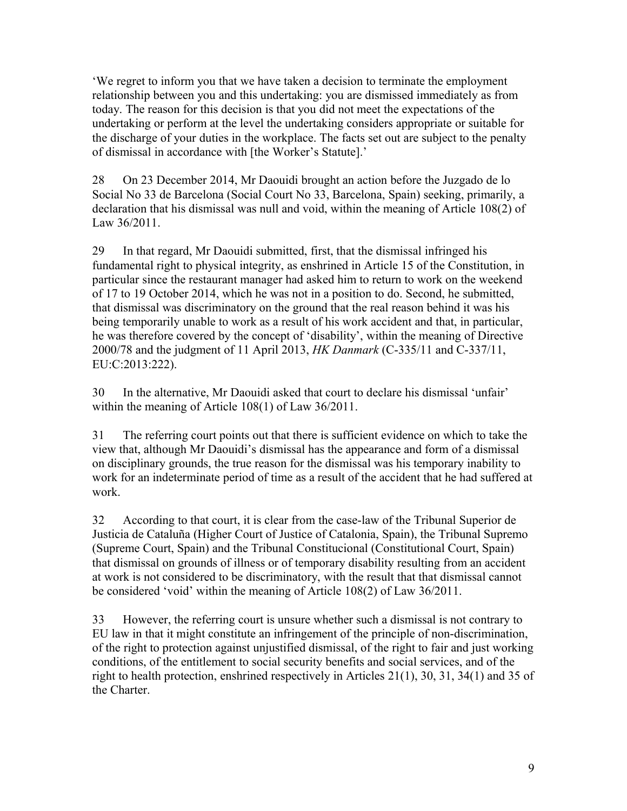'We regret to inform you that we have taken a decision to terminate the employment relationship between you and this undertaking: you are dismissed immediately as from today. The reason for this decision is that you did not meet the expectations of the undertaking or perform at the level the undertaking considers appropriate or suitable for the discharge of your duties in the workplace. The facts set out are subject to the penalty of dismissal in accordance with [the Worker's Statute].'

28 On 23 December 2014, Mr Daouidi brought an action before the Juzgado de lo Social No 33 de Barcelona (Social Court No 33, Barcelona, Spain) seeking, primarily, a declaration that his dismissal was null and void, within the meaning of Article 108(2) of Law 36/2011.

29 In that regard, Mr Daouidi submitted, first, that the dismissal infringed his fundamental right to physical integrity, as enshrined in Article 15 of the Constitution, in particular since the restaurant manager had asked him to return to work on the weekend of 17 to 19 October 2014, which he was not in a position to do. Second, he submitted, that dismissal was discriminatory on the ground that the real reason behind it was his being temporarily unable to work as a result of his work accident and that, in particular, he was therefore covered by the concept of 'disability', within the meaning of Directive 2000/78 and the judgment of 11 April 2013, *HK Danmark* (C-335/11 and C-337/11, EU:C:2013:222).

30 In the alternative, Mr Daouidi asked that court to declare his dismissal 'unfair' within the meaning of Article 108(1) of Law 36/2011.

31 The referring court points out that there is sufficient evidence on which to take the view that, although Mr Daouidi's dismissal has the appearance and form of a dismissal on disciplinary grounds, the true reason for the dismissal was his temporary inability to work for an indeterminate period of time as a result of the accident that he had suffered at work.

32 According to that court, it is clear from the case-law of the Tribunal Superior de Justicia de Cataluña (Higher Court of Justice of Catalonia, Spain), the Tribunal Supremo (Supreme Court, Spain) and the Tribunal Constitucional (Constitutional Court, Spain) that dismissal on grounds of illness or of temporary disability resulting from an accident at work is not considered to be discriminatory, with the result that that dismissal cannot be considered 'void' within the meaning of Article 108(2) of Law 36/2011.

33 However, the referring court is unsure whether such a dismissal is not contrary to EU law in that it might constitute an infringement of the principle of non-discrimination, of the right to protection against unjustified dismissal, of the right to fair and just working conditions, of the entitlement to social security benefits and social services, and of the right to health protection, enshrined respectively in Articles 21(1), 30, 31, 34(1) and 35 of the Charter.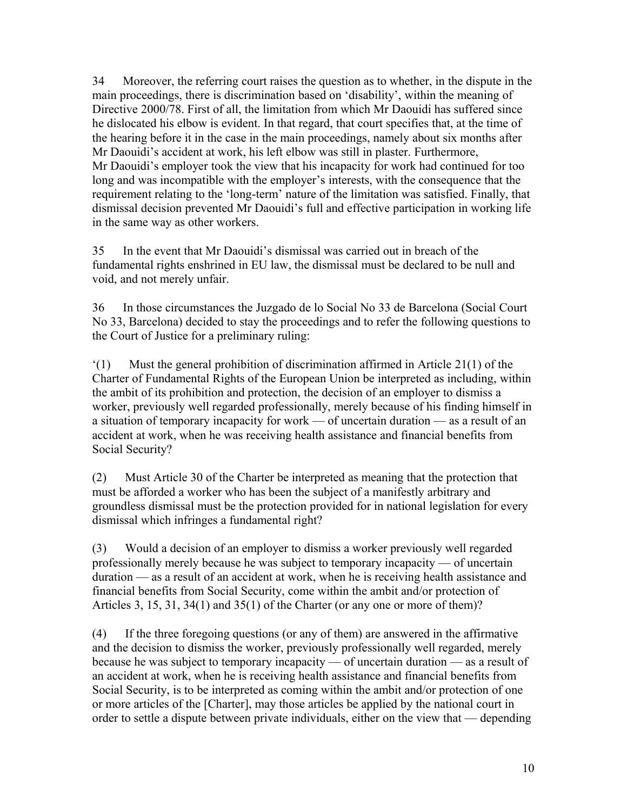34 Moreover, the referring court raises the question as to whether, in the dispute in the main proceedings, there is discrimination based on 'disability', within the meaning of Directive 2000/78. First of all, the limitation from which Mr Daouidi has suffered since he dislocated his elbow is evident. In that regard, that court specifies that, at the time of the hearing before it in the case in the main proceedings, namely about six months after Mr Daouidi's accident at work, his left elbow was still in plaster. Furthermore, Mr Daouidi's employer took the view that his incapacity for work had continued for too long and was incompatible with the employer's interests, with the consequence that the requirement relating to the 'long-term' nature of the limitation was satisfied. Finally, that dismissal decision prevented Mr Daouidi's full and effective participation in working life in the same way as other workers.

35 In the event that Mr Daouidi's dismissal was carried out in breach of the fundamental rights enshrined in EU law, the dismissal must be declared to be null and void, and not merely unfair.

36 In those circumstances the Juzgado de lo Social No 33 de Barcelona (Social Court No 33, Barcelona) decided to stay the proceedings and to refer the following questions to the Court of Justice for a preliminary ruling:

'(1) Must the general prohibition of discrimination affirmed in Article 21(1) of the Charter of Fundamental Rights of the European Union be interpreted as including, within the ambit of its prohibition and protection, the decision of an employer to dismiss a worker, previously well regarded professionally, merely because of his finding himself in a situation of temporary incapacity for work — of uncertain duration — as a result of an accident at work, when he was receiving health assistance and financial benefits from Social Security?

(2) Must Article 30 of the Charter be interpreted as meaning that the protection that must be afforded a worker who has been the subject of a manifestly arbitrary and groundless dismissal must be the protection provided for in national legislation for every dismissal which infringes a fundamental right?

(3) Would a decision of an employer to dismiss a worker previously well regarded professionally merely because he was subject to temporary incapacity — of uncertain duration — as a result of an accident at work, when he is receiving health assistance and financial benefits from Social Security, come within the ambit and/or protection of Articles 3, 15, 31, 34(1) and 35(1) of the Charter (or any one or more of them)?

(4) If the three foregoing questions (or any of them) are answered in the affirmative and the decision to dismiss the worker, previously professionally well regarded, merely because he was subject to temporary incapacity — of uncertain duration — as a result of an accident at work, when he is receiving health assistance and financial benefits from Social Security, is to be interpreted as coming within the ambit and/or protection of one or more articles of the [Charter], may those articles be applied by the national court in order to settle a dispute between private individuals, either on the view that — depending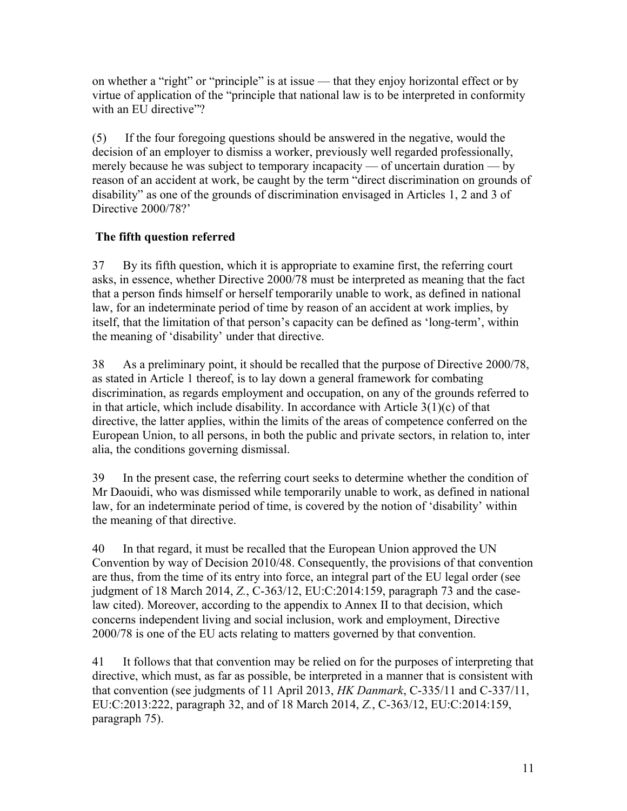on whether a "right" or "principle" is at issue — that they enjoy horizontal effect or by virtue of application of the "principle that national law is to be interpreted in conformity with an EU directive"?

(5) If the four foregoing questions should be answered in the negative, would the decision of an employer to dismiss a worker, previously well regarded professionally, merely because he was subject to temporary incapacity — of uncertain duration — by reason of an accident at work, be caught by the term "direct discrimination on grounds of disability" as one of the grounds of discrimination envisaged in Articles 1, 2 and 3 of Directive 2000/78?'

# **The fifth question referred**

37 By its fifth question, which it is appropriate to examine first, the referring court asks, in essence, whether Directive 2000/78 must be interpreted as meaning that the fact that a person finds himself or herself temporarily unable to work, as defined in national law, for an indeterminate period of time by reason of an accident at work implies, by itself, that the limitation of that person's capacity can be defined as 'long-term', within the meaning of 'disability' under that directive.

38 As a preliminary point, it should be recalled that the purpose of Directive 2000/78, as stated in Article 1 thereof, is to lay down a general framework for combating discrimination, as regards employment and occupation, on any of the grounds referred to in that article, which include disability. In accordance with Article 3(1)(c) of that directive, the latter applies, within the limits of the areas of competence conferred on the European Union, to all persons, in both the public and private sectors, in relation to, inter alia, the conditions governing dismissal.

39 In the present case, the referring court seeks to determine whether the condition of Mr Daouidi, who was dismissed while temporarily unable to work, as defined in national law, for an indeterminate period of time, is covered by the notion of 'disability' within the meaning of that directive.

40 In that regard, it must be recalled that the European Union approved the UN Convention by way of Decision 2010/48. Consequently, the provisions of that convention are thus, from the time of its entry into force, an integral part of the EU legal order (see judgment of 18 March 2014, *Z.*, C-363/12, EU:C:2014:159, paragraph 73 and the caselaw cited). Moreover, according to the appendix to Annex II to that decision, which concerns independent living and social inclusion, work and employment, Directive 2000/78 is one of the EU acts relating to matters governed by that convention.

41 It follows that that convention may be relied on for the purposes of interpreting that directive, which must, as far as possible, be interpreted in a manner that is consistent with that convention (see judgments of 11 April 2013, *HK Danmark*, C-335/11 and C-337/11, EU:C:2013:222, paragraph 32, and of 18 March 2014, *Z.*, C-363/12, EU:C:2014:159, paragraph 75).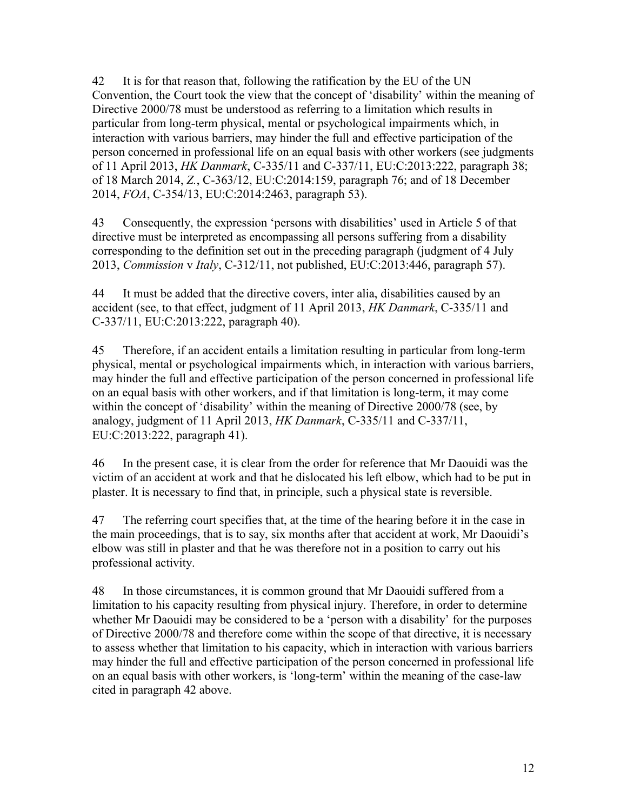42 It is for that reason that, following the ratification by the EU of the UN Convention, the Court took the view that the concept of 'disability' within the meaning of Directive 2000/78 must be understood as referring to a limitation which results in particular from long-term physical, mental or psychological impairments which, in interaction with various barriers, may hinder the full and effective participation of the person concerned in professional life on an equal basis with other workers (see judgments of 11 April 2013, *HK Danmark*, C-335/11 and C-337/11, EU:C:2013:222, paragraph 38; of 18 March 2014, *Z.*, C-363/12, EU:C:2014:159, paragraph 76; and of 18 December 2014, *FOA*, C-354/13, EU:C:2014:2463, paragraph 53).

43 Consequently, the expression 'persons with disabilities' used in Article 5 of that directive must be interpreted as encompassing all persons suffering from a disability corresponding to the definition set out in the preceding paragraph (judgment of 4 July 2013, *Commission* v *Italy*, C-312/11, not published, EU:C:2013:446, paragraph 57).

44 It must be added that the directive covers, inter alia, disabilities caused by an accident (see, to that effect, judgment of 11 April 2013, *HK Danmark*, C-335/11 and C-337/11, EU:C:2013:222, paragraph 40).

45 Therefore, if an accident entails a limitation resulting in particular from long-term physical, mental or psychological impairments which, in interaction with various barriers, may hinder the full and effective participation of the person concerned in professional life on an equal basis with other workers, and if that limitation is long-term, it may come within the concept of 'disability' within the meaning of Directive 2000/78 (see, by analogy, judgment of 11 April 2013, *HK Danmark*, C-335/11 and C-337/11, EU:C:2013:222, paragraph 41).

46 In the present case, it is clear from the order for reference that Mr Daouidi was the victim of an accident at work and that he dislocated his left elbow, which had to be put in plaster. It is necessary to find that, in principle, such a physical state is reversible.

47 The referring court specifies that, at the time of the hearing before it in the case in the main proceedings, that is to say, six months after that accident at work, Mr Daouidi's elbow was still in plaster and that he was therefore not in a position to carry out his professional activity.

48 In those circumstances, it is common ground that Mr Daouidi suffered from a limitation to his capacity resulting from physical injury. Therefore, in order to determine whether Mr Daouidi may be considered to be a 'person with a disability' for the purposes of Directive 2000/78 and therefore come within the scope of that directive, it is necessary to assess whether that limitation to his capacity, which in interaction with various barriers may hinder the full and effective participation of the person concerned in professional life on an equal basis with other workers, is 'long-term' within the meaning of the case-law cited in paragraph 42 above.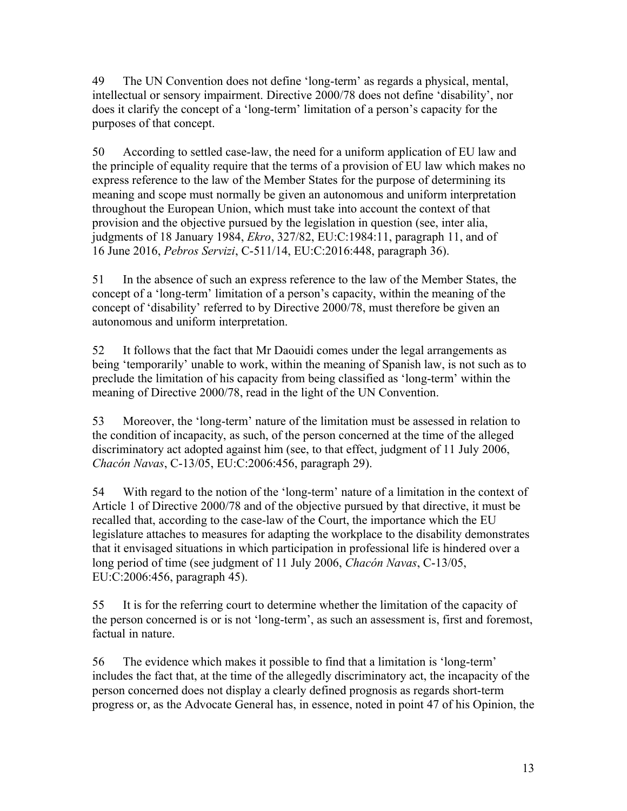49 The UN Convention does not define 'long-term' as regards a physical, mental, intellectual or sensory impairment. Directive 2000/78 does not define 'disability', nor does it clarify the concept of a 'long-term' limitation of a person's capacity for the purposes of that concept.

50 According to settled case-law, the need for a uniform application of EU law and the principle of equality require that the terms of a provision of EU law which makes no express reference to the law of the Member States for the purpose of determining its meaning and scope must normally be given an autonomous and uniform interpretation throughout the European Union, which must take into account the context of that provision and the objective pursued by the legislation in question (see, inter alia, judgments of 18 January 1984, *Ekro*, 327/82, EU:C:1984:11, paragraph 11, and of 16 June 2016, *Pebros Servizi*, C-511/14, EU:C:2016:448, paragraph 36).

51 In the absence of such an express reference to the law of the Member States, the concept of a 'long-term' limitation of a person's capacity, within the meaning of the concept of 'disability' referred to by Directive 2000/78, must therefore be given an autonomous and uniform interpretation.

52 It follows that the fact that Mr Daouidi comes under the legal arrangements as being 'temporarily' unable to work, within the meaning of Spanish law, is not such as to preclude the limitation of his capacity from being classified as 'long-term' within the meaning of Directive 2000/78, read in the light of the UN Convention.

53 Moreover, the 'long-term' nature of the limitation must be assessed in relation to the condition of incapacity, as such, of the person concerned at the time of the alleged discriminatory act adopted against him (see, to that effect, judgment of 11 July 2006, *Chacón Navas*, C-13/05, EU:C:2006:456, paragraph 29).

54 With regard to the notion of the 'long-term' nature of a limitation in the context of Article 1 of Directive 2000/78 and of the objective pursued by that directive, it must be recalled that, according to the case-law of the Court, the importance which the EU legislature attaches to measures for adapting the workplace to the disability demonstrates that it envisaged situations in which participation in professional life is hindered over a long period of time (see judgment of 11 July 2006, *Chacón Navas*, C-13/05, EU:C:2006:456, paragraph 45).

55 It is for the referring court to determine whether the limitation of the capacity of the person concerned is or is not 'long-term', as such an assessment is, first and foremost, factual in nature.

56 The evidence which makes it possible to find that a limitation is 'long-term' includes the fact that, at the time of the allegedly discriminatory act, the incapacity of the person concerned does not display a clearly defined prognosis as regards short-term progress or, as the Advocate General has, in essence, noted in point 47 of his Opinion, the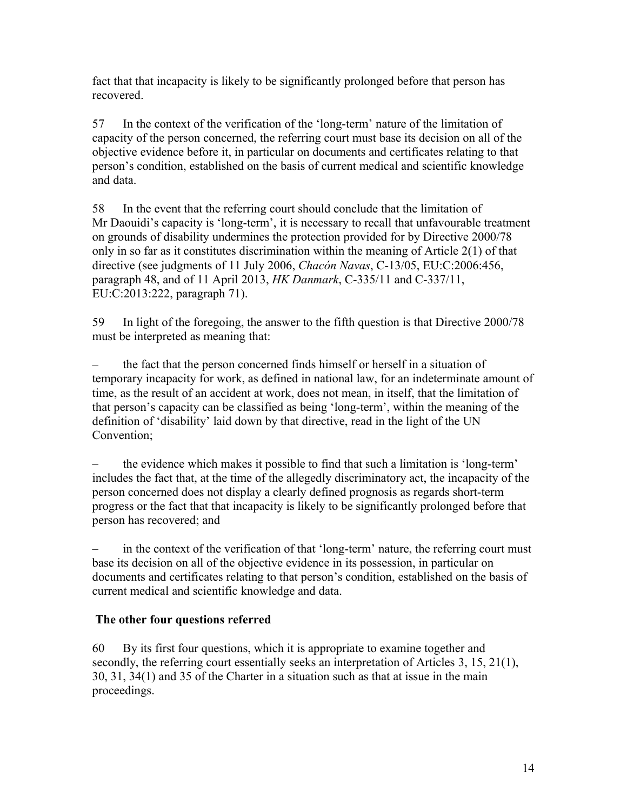fact that that incapacity is likely to be significantly prolonged before that person has recovered.

57 In the context of the verification of the 'long-term' nature of the limitation of capacity of the person concerned, the referring court must base its decision on all of the objective evidence before it, in particular on documents and certificates relating to that person's condition, established on the basis of current medical and scientific knowledge and data.

58 In the event that the referring court should conclude that the limitation of Mr Daouidi's capacity is 'long-term', it is necessary to recall that unfavourable treatment on grounds of disability undermines the protection provided for by Directive 2000/78 only in so far as it constitutes discrimination within the meaning of Article 2(1) of that directive (see judgments of 11 July 2006, *Chacón Navas*, C-13/05, EU:C:2006:456, paragraph 48, and of 11 April 2013, *HK Danmark*, C-335/11 and C-337/11, EU:C:2013:222, paragraph 71).

59 In light of the foregoing, the answer to the fifth question is that Directive 2000/78 must be interpreted as meaning that:

– the fact that the person concerned finds himself or herself in a situation of temporary incapacity for work, as defined in national law, for an indeterminate amount of time, as the result of an accident at work, does not mean, in itself, that the limitation of that person's capacity can be classified as being 'long-term', within the meaning of the definition of 'disability' laid down by that directive, read in the light of the UN Convention;

– the evidence which makes it possible to find that such a limitation is 'long-term' includes the fact that, at the time of the allegedly discriminatory act, the incapacity of the person concerned does not display a clearly defined prognosis as regards short-term progress or the fact that that incapacity is likely to be significantly prolonged before that person has recovered; and

– in the context of the verification of that 'long-term' nature, the referring court must base its decision on all of the objective evidence in its possession, in particular on documents and certificates relating to that person's condition, established on the basis of current medical and scientific knowledge and data.

## **The other four questions referred**

60 By its first four questions, which it is appropriate to examine together and secondly, the referring court essentially seeks an interpretation of Articles 3, 15, 21(1), 30, 31, 34(1) and 35 of the Charter in a situation such as that at issue in the main proceedings.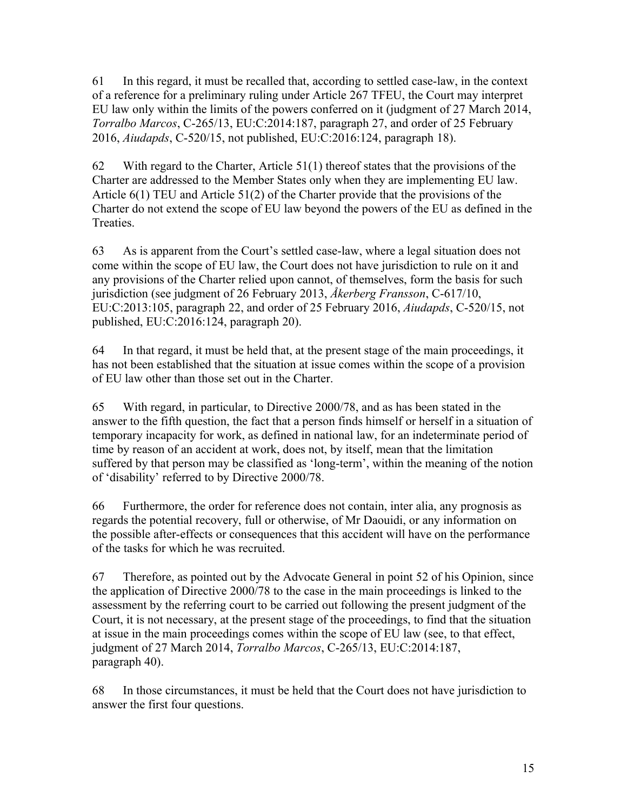61 In this regard, it must be recalled that, according to settled case-law, in the context of a reference for a preliminary ruling under Article 267 TFEU, the Court may interpret EU law only within the limits of the powers conferred on it (judgment of 27 March 2014, *Torralbo Marcos*, C-265/13, EU:C:2014:187, paragraph 27, and order of 25 February 2016, *Aiudapds*, C-520/15, not published, EU:C:2016:124, paragraph 18).

62 With regard to the Charter, Article  $51(1)$  thereof states that the provisions of the Charter are addressed to the Member States only when they are implementing EU law. Article 6(1) TEU and Article 51(2) of the Charter provide that the provisions of the Charter do not extend the scope of EU law beyond the powers of the EU as defined in the Treaties.

63 As is apparent from the Court's settled case-law, where a legal situation does not come within the scope of EU law, the Court does not have jurisdiction to rule on it and any provisions of the Charter relied upon cannot, of themselves, form the basis for such jurisdiction (see judgment of 26 February 2013, *Åkerberg Fransson*, C-617/10, EU:C:2013:105, paragraph 22, and order of 25 February 2016, *Aiudapds*, C-520/15, not published, EU:C:2016:124, paragraph 20).

64 In that regard, it must be held that, at the present stage of the main proceedings, it has not been established that the situation at issue comes within the scope of a provision of EU law other than those set out in the Charter.

65 With regard, in particular, to Directive 2000/78, and as has been stated in the answer to the fifth question, the fact that a person finds himself or herself in a situation of temporary incapacity for work, as defined in national law, for an indeterminate period of time by reason of an accident at work, does not, by itself, mean that the limitation suffered by that person may be classified as 'long-term', within the meaning of the notion of 'disability' referred to by Directive 2000/78.

66 Furthermore, the order for reference does not contain, inter alia, any prognosis as regards the potential recovery, full or otherwise, of Mr Daouidi, or any information on the possible after-effects or consequences that this accident will have on the performance of the tasks for which he was recruited.

67 Therefore, as pointed out by the Advocate General in point 52 of his Opinion, since the application of Directive 2000/78 to the case in the main proceedings is linked to the assessment by the referring court to be carried out following the present judgment of the Court, it is not necessary, at the present stage of the proceedings, to find that the situation at issue in the main proceedings comes within the scope of EU law (see, to that effect, judgment of 27 March 2014, *Torralbo Marcos*, C-265/13, EU:C:2014:187, paragraph 40).

68 In those circumstances, it must be held that the Court does not have jurisdiction to answer the first four questions.